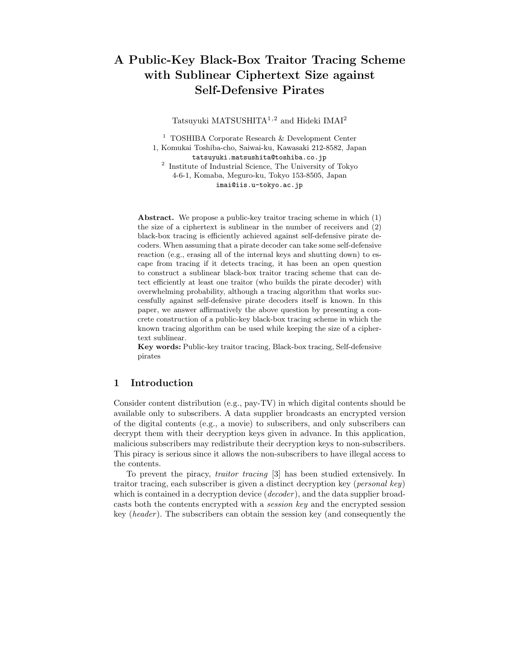# A Public-Key Black-Box Traitor Tracing Scheme with Sublinear Ciphertext Size against Self-Defensive Pirates

Tatsuyuki MATSUSHITA<sup>1,2</sup> and Hideki IMAI<sup>2</sup>

<sup>1</sup> TOSHIBA Corporate Research & Development Center 1, Komukai Toshiba-cho, Saiwai-ku, Kawasaki 212-8582, Japan tatsuyuki.matsushita@toshiba.co.jp 2 Institute of Industrial Science, The University of Tokyo 4-6-1, Komaba, Meguro-ku, Tokyo 153-8505, Japan imai@iis.u-tokyo.ac.jp

Abstract. We propose a public-key traitor tracing scheme in which (1) the size of a ciphertext is sublinear in the number of receivers and (2) black-box tracing is efficiently achieved against self-defensive pirate decoders. When assuming that a pirate decoder can take some self-defensive reaction (e.g., erasing all of the internal keys and shutting down) to escape from tracing if it detects tracing, it has been an open question to construct a sublinear black-box traitor tracing scheme that can detect efficiently at least one traitor (who builds the pirate decoder) with overwhelming probability, although a tracing algorithm that works successfully against self-defensive pirate decoders itself is known. In this paper, we answer affirmatively the above question by presenting a concrete construction of a public-key black-box tracing scheme in which the known tracing algorithm can be used while keeping the size of a ciphertext sublinear.

Key words: Public-key traitor tracing, Black-box tracing, Self-defensive pirates

# 1 Introduction

Consider content distribution (e.g., pay-TV) in which digital contents should be available only to subscribers. A data supplier broadcasts an encrypted version of the digital contents (e.g., a movie) to subscribers, and only subscribers can decrypt them with their decryption keys given in advance. In this application, malicious subscribers may redistribute their decryption keys to non-subscribers. This piracy is serious since it allows the non-subscribers to have illegal access to the contents.

To prevent the piracy, traitor tracing [3] has been studied extensively. In traitor tracing, each subscriber is given a distinct decryption key (personal key) which is contained in a decryption device (*decoder*), and the data supplier broadcasts both the contents encrypted with a session key and the encrypted session key *(header)*. The subscribers can obtain the session key (and consequently the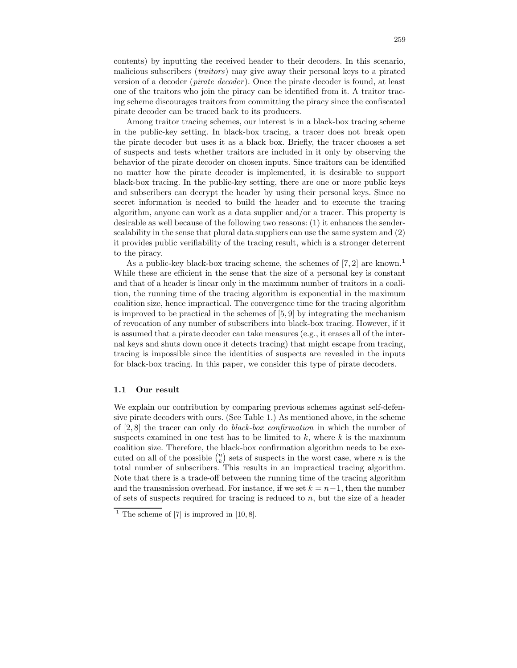contents) by inputting the received header to their decoders. In this scenario, malicious subscribers (traitors) may give away their personal keys to a pirated version of a decoder (pirate decoder ). Once the pirate decoder is found, at least one of the traitors who join the piracy can be identified from it. A traitor tracing scheme discourages traitors from committing the piracy since the confiscated pirate decoder can be traced back to its producers.

Among traitor tracing schemes, our interest is in a black-box tracing scheme in the public-key setting. In black-box tracing, a tracer does not break open the pirate decoder but uses it as a black box. Briefly, the tracer chooses a set of suspects and tests whether traitors are included in it only by observing the behavior of the pirate decoder on chosen inputs. Since traitors can be identified no matter how the pirate decoder is implemented, it is desirable to support black-box tracing. In the public-key setting, there are one or more public keys and subscribers can decrypt the header by using their personal keys. Since no secret information is needed to build the header and to execute the tracing algorithm, anyone can work as a data supplier and/or a tracer. This property is desirable as well because of the following two reasons: (1) it enhances the senderscalability in the sense that plural data suppliers can use the same system and (2) it provides public verifiability of the tracing result, which is a stronger deterrent to the piracy.

As a public-key black-box tracing scheme, the schemes of  $[7, 2]$  are known.<sup>1</sup> While these are efficient in the sense that the size of a personal key is constant and that of a header is linear only in the maximum number of traitors in a coalition, the running time of the tracing algorithm is exponential in the maximum coalition size, hence impractical. The convergence time for the tracing algorithm is improved to be practical in the schemes of  $[5, 9]$  by integrating the mechanism of revocation of any number of subscribers into black-box tracing. However, if it is assumed that a pirate decoder can take measures (e.g., it erases all of the internal keys and shuts down once it detects tracing) that might escape from tracing, tracing is impossible since the identities of suspects are revealed in the inputs for black-box tracing. In this paper, we consider this type of pirate decoders.

### 1.1 Our result

We explain our contribution by comparing previous schemes against self-defensive pirate decoders with ours. (See Table 1.) As mentioned above, in the scheme of  $[2, 8]$  the tracer can only do *black-box confirmation* in which the number of suspects examined in one test has to be limited to  $k$ , where  $k$  is the maximum coalition size. Therefore, the black-box confirmation algorithm needs to be executed on all of the possible  $\binom{n}{k}$  sets of suspects in the worst case, where n is the total number of subscribers. This results in an impractical tracing algorithm. Note that there is a trade-off between the running time of the tracing algorithm and the transmission overhead. For instance, if we set  $k = n-1$ , then the number of sets of suspects required for tracing is reduced to  $n$ , but the size of a header

<sup>&</sup>lt;sup>1</sup> The scheme of [7] is improved in  $[10, 8]$ .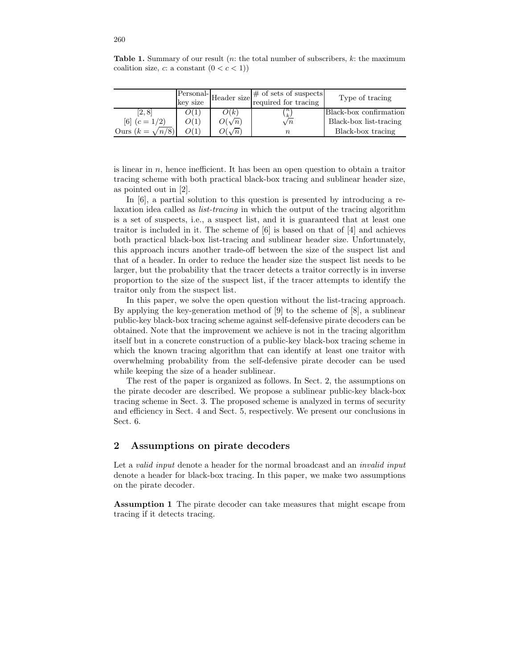**Table 1.** Summary of our result  $(n:$  the total number of subscribers,  $k:$  the maximum coalition size, c: a constant  $(0 < c < 1)$ )

|                         | key size | $\left  {\rm \text{Personal-}} \right $ Header size | $\#$ of sets of suspects<br>required for tracing | Type of tracing        |
|-------------------------|----------|-----------------------------------------------------|--------------------------------------------------|------------------------|
| [2, 8]                  | O(1)     | O(k)                                                | $\left( n\right)$                                | Black-box confirmation |
| [6] $(c = 1/2)$         | O(1)     | $O(\sqrt{n})$                                       | $\sqrt{n}$                                       | Black-box list-tracing |
| Ours $(k = \sqrt{n/8})$ | O(1)     | $O(\sqrt{n})$                                       | $\boldsymbol{n}$                                 | Black-box tracing      |

is linear in  $n$ , hence inefficient. It has been an open question to obtain a traitor tracing scheme with both practical black-box tracing and sublinear header size, as pointed out in [2].

In [6], a partial solution to this question is presented by introducing a relaxation idea called as list-tracing in which the output of the tracing algorithm is a set of suspects, i.e., a suspect list, and it is guaranteed that at least one traitor is included in it. The scheme of [6] is based on that of [4] and achieves both practical black-box list-tracing and sublinear header size. Unfortunately, this approach incurs another trade-off between the size of the suspect list and that of a header. In order to reduce the header size the suspect list needs to be larger, but the probability that the tracer detects a traitor correctly is in inverse proportion to the size of the suspect list, if the tracer attempts to identify the traitor only from the suspect list.

In this paper, we solve the open question without the list-tracing approach. By applying the key-generation method of [9] to the scheme of [8], a sublinear public-key black-box tracing scheme against self-defensive pirate decoders can be obtained. Note that the improvement we achieve is not in the tracing algorithm itself but in a concrete construction of a public-key black-box tracing scheme in which the known tracing algorithm that can identify at least one traitor with overwhelming probability from the self-defensive pirate decoder can be used while keeping the size of a header sublinear.

The rest of the paper is organized as follows. In Sect. 2, the assumptions on the pirate decoder are described. We propose a sublinear public-key black-box tracing scheme in Sect. 3. The proposed scheme is analyzed in terms of security and efficiency in Sect. 4 and Sect. 5, respectively. We present our conclusions in Sect. 6.

## 2 Assumptions on pirate decoders

Let a valid input denote a header for the normal broadcast and an *invalid input* denote a header for black-box tracing. In this paper, we make two assumptions on the pirate decoder.

Assumption 1 The pirate decoder can take measures that might escape from tracing if it detects tracing.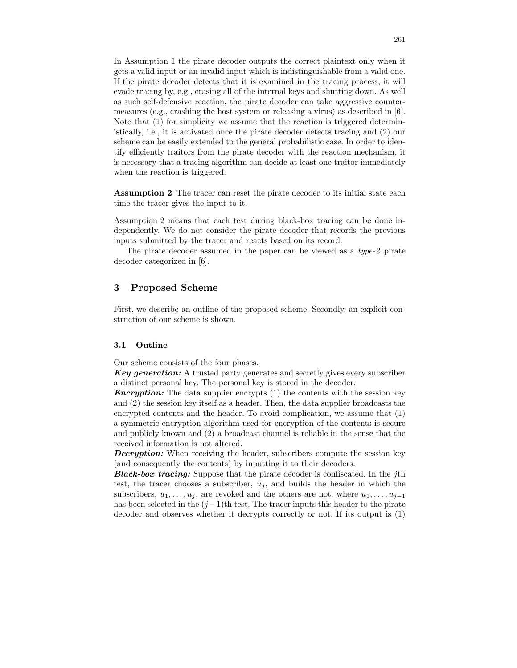In Assumption 1 the pirate decoder outputs the correct plaintext only when it gets a valid input or an invalid input which is indistinguishable from a valid one. If the pirate decoder detects that it is examined in the tracing process, it will evade tracing by, e.g., erasing all of the internal keys and shutting down. As well as such self-defensive reaction, the pirate decoder can take aggressive countermeasures (e.g., crashing the host system or releasing a virus) as described in [6]. Note that (1) for simplicity we assume that the reaction is triggered deterministically, i.e., it is activated once the pirate decoder detects tracing and (2) our scheme can be easily extended to the general probabilistic case. In order to identify efficiently traitors from the pirate decoder with the reaction mechanism, it is necessary that a tracing algorithm can decide at least one traitor immediately when the reaction is triggered.

Assumption 2 The tracer can reset the pirate decoder to its initial state each time the tracer gives the input to it.

Assumption 2 means that each test during black-box tracing can be done independently. We do not consider the pirate decoder that records the previous inputs submitted by the tracer and reacts based on its record.

The pirate decoder assumed in the paper can be viewed as a type-2 pirate decoder categorized in [6].

# 3 Proposed Scheme

First, we describe an outline of the proposed scheme. Secondly, an explicit construction of our scheme is shown.

#### 3.1 Outline

Our scheme consists of the four phases.

Key generation: A trusted party generates and secretly gives every subscriber a distinct personal key. The personal key is stored in the decoder.

**Encryption:** The data supplier encrypts  $(1)$  the contents with the session key and (2) the session key itself as a header. Then, the data supplier broadcasts the encrypted contents and the header. To avoid complication, we assume that (1) a symmetric encryption algorithm used for encryption of the contents is secure and publicly known and (2) a broadcast channel is reliable in the sense that the received information is not altered.

**Decryption:** When receiving the header, subscribers compute the session key (and consequently the contents) by inputting it to their decoders.

**Black-box tracing:** Suppose that the pirate decoder is confiscated. In the *j*th test, the tracer chooses a subscriber,  $u_i$ , and builds the header in which the subscribers,  $u_1, \ldots, u_j$ , are revoked and the others are not, where  $u_1, \ldots, u_{j-1}$ has been selected in the  $(j-1)$ th test. The tracer inputs this header to the pirate decoder and observes whether it decrypts correctly or not. If its output is (1)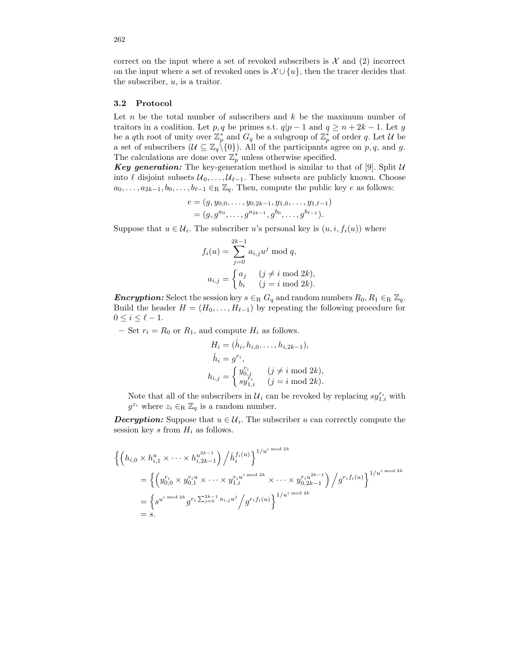correct on the input where a set of revoked subscribers is  $\mathcal{X}$  and (2) incorrect on the input where a set of revoked ones is  $\mathcal{X} \cup \{u\}$ , then the tracer decides that the subscriber,  $u$ , is a traitor.

### 3.2 Protocol

Let n be the total number of subscribers and  $k$  be the maximum number of traitors in a coalition. Let p, q be primes s.t.  $q|p-1$  and  $q \ge n+2k-1$ . Let g be a qth root of unity over  $\mathbb{Z}_p^*$  $\frac{1}{p}$  and  $G_q$  be a subgroup of  $\mathbb{Z}_p^*$  $_{p}^{*}$  of order q. Let  $\mathcal{U}$  be a set of subscribers  $(U \subseteq \mathbb{Z}_q \setminus \{0\})$ . All of the participants agree on p, q, and g. The calculations are done over  $\mathbb{Z}_p^*$  unless otherwise specified.

**Key generation:** The key-generation method is similar to that of [9]. Split  $U$ into  $\ell$  disjoint subsets  $U_0, \ldots, U_{\ell-1}$ . These subsets are publicly known. Choose  $a_0, \ldots, a_{2k-1}, b_0, \ldots, b_{\ell-1} \in_R \mathbb{Z}_q$ . Then, compute the public key e as follows:

$$
e = (g, y_{0,0}, \dots, y_{0,2k-1}, y_{1,0}, \dots, y_{1,\ell-1})
$$
  
=  $(g, g^{a_0}, \dots, g^{a_{2k-1}}, g^{b_0}, \dots, g^{b_{\ell-1}}).$ 

Suppose that  $u \in \mathcal{U}_i$ . The subscriber u's personal key is  $(u, i, f_i(u))$  where

$$
f_i(u) = \sum_{j=0}^{2k-1} a_{i,j} u^j \mod q,
$$
  

$$
a_{i,j} = \begin{cases} a_j & (j \neq i \mod 2k), \\ b_i & (j = i \mod 2k). \end{cases}
$$

**Encryption:** Select the session key  $s \in_R G_q$  and random numbers  $R_0, R_1 \in_R \mathbb{Z}_q$ . Build the header  $H = (H_0, \ldots, H_{\ell-1})$  by repeating the following procedure for  $0 \leq i \leq \ell - 1$ .

– Set  $r_i = R_0$  or  $R_1$ , and compute  $H_i$  as follows.

$$
H_i = (\hat{h}_i, h_{i,0}, \dots, h_{i,2k-1}),
$$
  
\n
$$
\hat{h}_i = g^{r_i},
$$
  
\n
$$
h_{i,j} = \begin{cases} y_{0,j}^{r_i} & (j \neq i \text{ mod } 2k), \\ sy_{1,i}^{r_i} & (j = i \text{ mod } 2k). \end{cases}
$$

Note that all of the subscribers in  $\mathcal{U}_i$  can be revoked by replacing  $sy_{1,i}^{r_i}$  with  $g^{z_i}$  where  $z_i \in_R \mathbb{Z}_q$  is a random number.

**Decryption:** Suppose that  $u \in \mathcal{U}_i$ . The subscriber u can correctly compute the session key s from  $H_i$  as follows.

$$
\begin{aligned}\n&\left\{\left(h_{i,0}\times h_{i,1}^u\times\cdots\times h_{i,2k-1}^{u^{2k-1}}\right)/\hat{h}_i^{f_i(u)}\right\}^{1/u^{i\text{ mod }2k}} \\
&= \left\{\left(y_{0,0}^{r_i}\times y_{0,1}^{r_i u}\times\cdots\times y_{1,i}^{r_i u^{i\text{ mod }2k}}\times\cdots\times y_{0,2k-1}^{r_i u^{2k-1}}\right)/g^{r_i f_i(u)}\right\}^{1/u^{i\text{ mod }2k}} \\
&= \left\{s^{u^{i\text{ mod }2k}}g^{r_i\sum_{j=0}^{2k-1}a_{i,j}u^j}/g^{r_i f_i(u)}\right\}^{1/u^{i\text{ mod }2k}} \\
&= s.\n\end{aligned}
$$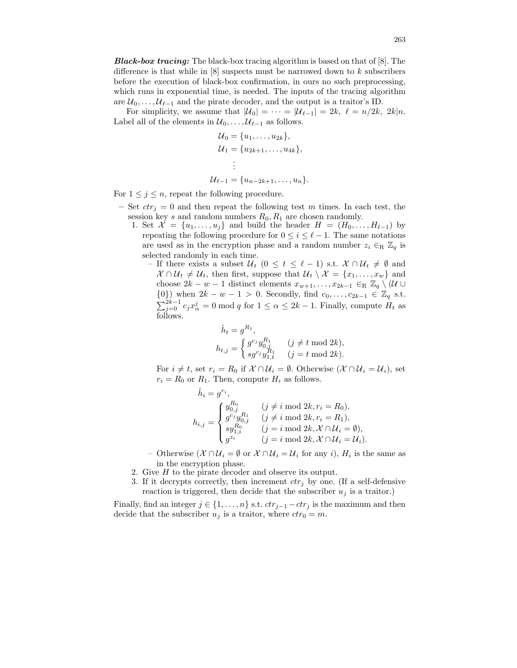**Black-box tracing:** The black-box tracing algorithm is based on that of  $[8]$ . The difference is that while in [8] suspects must be narrowed down to k subscribers before the execution of black-box confirmation, in ours no such preprocessing, which runs in exponential time, is needed. The inputs of the tracing algorithm are  $\mathcal{U}_0, \ldots, \mathcal{U}_{\ell-1}$  and the pirate decoder, and the output is a traitor's ID.

For simplicity, we assume that  $|U_0| = \cdots = |U_{\ell-1}| = 2k, \ell = n/2k, 2k|n$ . Label all of the elements in  $\mathcal{U}_0, \ldots, \mathcal{U}_{\ell-1}$  as follows.

$$
\mathcal{U}_0 = \{u_1, \dots, u_{2k}\},
$$
  
\n
$$
\mathcal{U}_1 = \{u_{2k+1}, \dots, u_{4k}\},
$$
  
\n
$$
\vdots
$$
  
\n
$$
\mathcal{U}_{\ell-1} = \{u_{n-2k+1}, \dots, u_n\}.
$$

For  $1 \leq j \leq n$ , repeat the following procedure.

- Set  $ctr<sub>j</sub> = 0$  and then repeat the following test m times. In each test, the session key s and random numbers  $R_0, R_1$  are chosen randomly.
	- 1. Set  $\mathcal{X} = \{u_1, \ldots, u_j\}$  and build the header  $H = (H_0, \ldots, H_{\ell-1})$  by repeating the following procedure for  $0 \leq i \leq \ell - 1$ . The same notations are used as in the encryption phase and a random number  $z_i \in_R \mathbb{Z}_q$  is selected randomly in each time.

If there exists a subset  $\mathcal{U}_t$  ( $0 \leq t \leq \ell - 1$ ) s.t.  $\mathcal{X} \cap \mathcal{U}_t \neq \emptyset$  and  $\mathcal{X} \cap \mathcal{U}_t \neq \mathcal{U}_t$ , then first, suppose that  $\mathcal{U}_t \setminus \mathcal{X} = \{x_1, \ldots, x_w\}$  and choose  $2k - w - 1$  distinct elements  $x_{w+1}, \ldots, x_{2k-1} \in_R \mathbb{Z}_q \setminus (U \cup$ {0}) when  $2k - w - 1 > 0$ . Secondly, find  $c_0, ..., c_{2k-1} \in \mathbb{Z}_q$  s.t.  $\sum_{j=0}^{2k-1} c_j x_{\alpha}^j = 0 \mod q$  for  $1 \leq \alpha \leq 2k-1$ . Finally, compute  $H_t$  as follows.

$$
\hat{h}_t = g^{R_1},
$$
\n
$$
h_{t,j} = \begin{cases}\ng^{c_j} y_{0,j}^{R_1} & (j \neq t \mod 2k), \\
sg^{c_j} y_{1,t}^{R_1} & (j = t \mod 2k).\n\end{cases}
$$

For  $i \neq t$ , set  $r_i = R_0$  if  $\mathcal{X} \cap \mathcal{U}_i = \emptyset$ . Otherwise  $(\mathcal{X} \cap \mathcal{U}_i = \mathcal{U}_i)$ , set  $r_i = R_0$  or  $R_1$ . Then, compute  $H_i$  as follows.

$$
\hat{h}_i = g^{r_i},
$$
\n
$$
h_{i,j} = \begin{cases}\ny_{0,j}^{R_0} & (j \neq i \text{ mod } 2k, r_i = R_0), \\
g^{c_j} y_{0,j}^{R_1} & (j \neq i \text{ mod } 2k, r_i = R_1), \\
sy_{1,i}^{R_0} & (j = i \text{ mod } 2k, \mathcal{X} \cap \mathcal{U}_i = \emptyset), \\
g^{z_i} & (j = i \text{ mod } 2k, \mathcal{X} \cap \mathcal{U}_i = \mathcal{U}_i).\n\end{cases}
$$

– Otherwise  $(\mathcal{X} \cap \mathcal{U}_i = \emptyset \text{ or } \mathcal{X} \cap \mathcal{U}_i = \mathcal{U}_i \text{ for any } i), H_i \text{ is the same as }$ in the encryption phase.

- 2. Give H to the pirate decoder and observe its output.
- 3. If it decrypts correctly, then increment  $ctr<sub>j</sub>$  by one. (If a self-defensive reaction is triggered, then decide that the subscriber  $u_j$  is a traitor.)

Finally, find an integer  $j \in \{1, \ldots, n\}$  s.t.  $ctr_{j-1} -ctr_j$  is the maximum and then decide that the subscriber  $u_j$  is a traitor, where  $ctr_0 = m$ .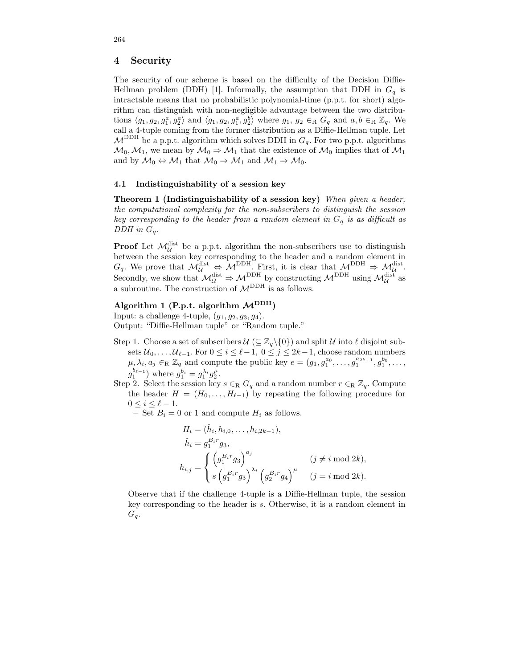### 4 Security

The security of our scheme is based on the difficulty of the Decision Diffie-Hellman problem (DDH) [1]. Informally, the assumption that DDH in  $G<sub>q</sub>$  is intractable means that no probabilistic polynomial-time (p.p.t. for short) algorithm can distinguish with non-negligible advantage between the two distributions  $\langle g_1, g_2, g_1^a, g_2^a \rangle$  and  $\langle g_1, g_2, g_1^a, g_2^b \rangle$  where  $g_1, g_2 \in_R G_q$  and  $a, b \in_R \mathbb{Z}_q$ . We call a 4-tuple coming from the former distribution as a Diffie-Hellman tuple. Let  $\mathcal{M}^{\text{DDH}}$  be a p.p.t. algorithm which solves DDH in  $G_q.$  For two p.p.t. algorithms  $\mathcal{M}_0, \mathcal{M}_1$ , we mean by  $\mathcal{M}_0 \Rightarrow \mathcal{M}_1$  that the existence of  $\mathcal{M}_0$  implies that of  $\mathcal{M}_1$ and by  $\mathcal{M}_0 \Leftrightarrow \mathcal{M}_1$  that  $\mathcal{M}_0 \Rightarrow \mathcal{M}_1$  and  $\mathcal{M}_1 \Rightarrow \mathcal{M}_0$ .

### 4.1 Indistinguishability of a session key

Theorem 1 (Indistinguishability of a session key) When given a header, the computational complexity for the non-subscribers to distinguish the session key corresponding to the header from a random element in  $G_q$  is as difficult as DDH in  $G_q$ .

**Proof** Let  $\mathcal{M}_{\overline{\mathcal{U}}}^{\text{dist}}$  be a p.p.t. algorithm the non-subscribers use to distinguish between the session key corresponding to the header and a random element in  $G_q$ . We prove that  $\mathcal{M}_{\bar{\mathcal{U}}}^{\text{dist}} \Leftrightarrow \mathcal{M}^{\text{DDH}}$ . First, it is clear that  $\mathcal{M}^{\text{DDH}} \Rightarrow \mathcal{M}_{\bar{\mathcal{U}}}^{\text{dist}}$ . Secondly, we show that  $M_{\tilde{U}}^{\text{dist}} \Rightarrow M_{\text{D}DH}^{\text{DDH}}$  by constructing  $M_{\text{D}}^{\text{DDH}}$  using  $M_{\tilde{U}}^{\text{dist}}$  as a subroutine. The construction of  $\mathcal{M}^{DDH}$  is as follows.

# Algorithm 1 (P.p.t. algorithm  $\mathcal{M}^{\text{DDH}}$ )

Input: a challenge 4-tuple,  $(g_1, g_2, g_3, g_4)$ . Output: "Diffie-Hellman tuple" or "Random tuple."

- Step 1. Choose a set of subscribers  $\mathcal{U} \subseteq \mathbb{Z}_q \setminus \{0\}$  and split  $\mathcal U$  into  $\ell$  disjoint subsets  $\mathcal{U}_0, \ldots, \mathcal{U}_{\ell-1}$ . For  $0 \leq i \leq \ell-1, 0 \leq j \leq 2k-1$ , choose random numbers  $\mu, \lambda_i, a_j \in_R \mathbb{Z}_q$  and compute the public key  $e = (g_1, g_1^{a_0}, \ldots, g_1^{a_{2k-1}}, g_1^{b_0}, \ldots,$  $g_1^{b_{\ell-1}}$ ) where  $g_1^{b_i} = g_1^{\lambda_i} g_2^{\mu}$ .
- Step 2. Select the session key  $s \in_R G_q$  and a random number  $r \in_R \mathbb{Z}_q$ . Compute the header  $H = (H_0, \ldots, H_{\ell-1})$  by repeating the following procedure for  $0 \leq i \leq \ell - 1$ .

– Set  $B_i = 0$  or 1 and compute  $H_i$  as follows.

$$
H_i = (\hat{h}_i, h_{i,0}, \dots, h_{i,2k-1}),
$$
  
\n
$$
\hat{h}_i = g_1^{B_i r} g_3,
$$
  
\n
$$
h_{i,j} = \begin{cases} \left( g_1^{B_i r} g_3 \right)^{a_j} & (j \neq i \mod 2k), \\ s \left( g_1^{B_i r} g_3 \right)^{\lambda_i} \left( g_2^{B_i r} g_4 \right)^{\mu} & (j = i \mod 2k). \end{cases}
$$

Observe that if the challenge 4-tuple is a Diffie-Hellman tuple, the session key corresponding to the header is s. Otherwise, it is a random element in  $G_q$ .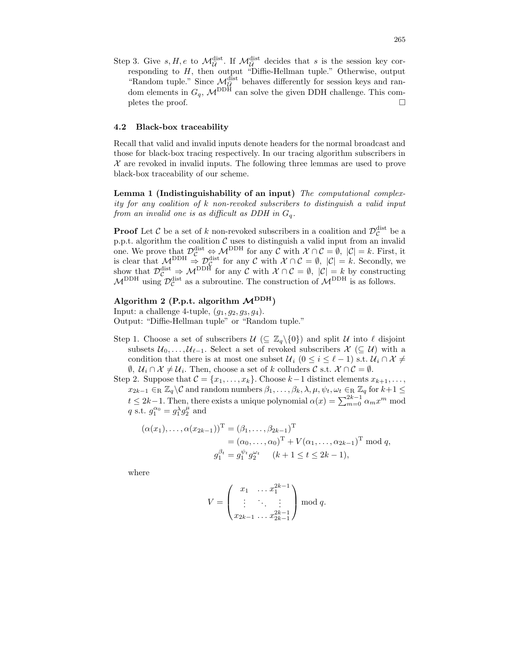Step 3. Give  $s, H, e$  to  $\mathcal{M}_{\overline{\mathcal{U}}}^{\text{dist}}$ . If  $\mathcal{M}_{\overline{\mathcal{U}}}^{\text{dist}}$  decides that s is the session key corresponding to H, then output "Diffie-Hellman tuple." Otherwise, output "Random tuple." Since  $\mathcal{M}_{\mathcal{U}}^{\text{dist}}$  behaves differently for session keys and random elements in  $G_q$ ,  $\mathcal{M}^{\text{DDH}}$  can solve the given DDH challenge. This com-<br>pletes the proof. pletes the proof.

### 4.2 Black-box traceability

Recall that valid and invalid inputs denote headers for the normal broadcast and those for black-box tracing respectively. In our tracing algorithm subscribers in  $\mathcal X$  are revoked in invalid inputs. The following three lemmas are used to prove black-box traceability of our scheme.

Lemma 1 (Indistinguishability of an input) The computational complexity for any coalition of k non-revoked subscribers to distinguish a valid input from an invalid one is as difficult as DDH in  $G_q$ .

**Proof** Let C be a set of k non-revoked subscribers in a coalition and  $\mathcal{D}_{\mathcal{C}}^{\text{dist}}$  be a p.p.t. algorithm the coalition  $\mathcal{C}$  uses to distinguish a valid input from an invalid one. We prove that  $\mathcal{D}_{\mathcal{C}}^{\text{dist}} \Leftrightarrow \mathcal{M}^{\text{DDH}}$  for any  $\mathcal{C}$  with  $\mathcal{X} \cap \mathcal{C} = \emptyset$ ,  $|\mathcal{C}| = k$ . First, it is clear that  $\mathcal{M}^{DDH} \Rightarrow \mathcal{D}_C^{\text{dist}}$  for any C with  $\mathcal{X} \cap C = \emptyset$ ,  $|C| = k$ . Secondly, we show that  $\mathcal{D}_{\mathcal{C}}^{\text{dist}} \Rightarrow \mathcal{M}^{\text{DDH}}$  for any  $\mathcal{C}$  with  $\mathcal{X} \cap \mathcal{C} = \emptyset$ ,  $|\mathcal{C}| = k$  by constructing  $M^{\text{DDH}}$  using  $\mathcal{D}_{\mathcal{C}}^{\text{dist}}$  as a subroutine. The construction of  $M^{\text{DDH}}$  is as follows.

# Algorithm 2 (P.p.t. algorithm  $\mathcal{M}^{DDH}$ )

Input: a challenge 4-tuple,  $(g_1, g_2, g_3, g_4)$ . Output: "Diffie-Hellman tuple" or "Random tuple."

Step 1. Choose a set of subscribers  $\mathcal{U} \ (\subseteq \mathbb{Z}_q \setminus \{0\})$  and split  $\mathcal{U}$  into  $\ell$  disjoint subsets  $\mathcal{U}_0, \ldots, \mathcal{U}_{\ell-1}$ . Select a set of revoked subscribers  $\mathcal{X} \subseteq \mathcal{U}$  with a condition that there is at most one subset  $\mathcal{U}_i$  ( $0 \leq i \leq \ell - 1$ ) s.t.  $\mathcal{U}_i \cap \mathcal{X} \neq \mathcal{Y}$  $\emptyset$ ,  $\mathcal{U}_i \cap \mathcal{X} \neq \mathcal{U}_i$ . Then, choose a set of k colluders C s.t.  $\mathcal{X} \cap \mathcal{C} = \emptyset$ .

Step 2. Suppose that  $C = \{x_1, \ldots, x_k\}$ . Choose  $k-1$  distinct elements  $x_{k+1}, \ldots$ ,  $x_{2k-1} \in_R \mathbb{Z}_q \backslash \mathcal{C}$  and random numbers  $\beta_1, \ldots, \beta_k, \lambda, \mu, \psi_t, \omega_t \in_R \mathbb{Z}_q$  for  $k+1 \leq$  $t \leq 2k-1$ . Then, there exists a unique polynomial  $\alpha(x) = \sum_{m=0}^{2k-1} \alpha_m x^m$  mod q s.t.  $g_1^{\alpha_0} = g_1^{\lambda} g_2^{\mu}$  and

$$
(\alpha(x_1), \dots, \alpha(x_{2k-1}))^{\mathrm{T}} = (\beta_1, \dots, \beta_{2k-1})^{\mathrm{T}} = (\alpha_0, \dots, \alpha_0)^{\mathrm{T}} + V(\alpha_1, \dots, \alpha_{2k-1})^{\mathrm{T}} \mod q, g_1^{\beta_t} = g_1^{\psi_t} g_2^{\omega_t} \quad (k+1 \le t \le 2k-1),
$$

where

$$
V = \begin{pmatrix} x_1 & \dots & x_1^{2k-1} \\ \vdots & \ddots & \vdots \\ x_{2k-1} & \dots & x_{2k-1}^{2k-1} \end{pmatrix} \bmod q.
$$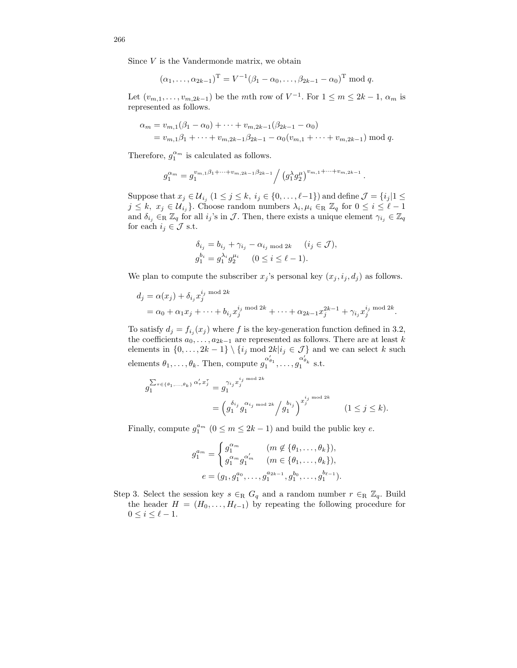Since  $V$  is the Vandermonde matrix, we obtain

$$
(\alpha_1, ..., \alpha_{2k-1})^{\mathrm{T}} = V^{-1}(\beta_1 - \alpha_0, ..., \beta_{2k-1} - \alpha_0)^{\mathrm{T}} \mod q.
$$

Let  $(v_{m,1},...,v_{m,2k-1})$  be the mth row of  $V^{-1}$ . For  $1 \leq m \leq 2k-1$ ,  $\alpha_m$  is represented as follows.

$$
\alpha_m = v_{m,1}(\beta_1 - \alpha_0) + \dots + v_{m,2k-1}(\beta_{2k-1} - \alpha_0)
$$
  
=  $v_{m,1}\beta_1 + \dots + v_{m,2k-1}\beta_{2k-1} - \alpha_0(v_{m,1} + \dots + v_{m,2k-1}) \text{ mod } q.$ 

Therefore,  $g_1^{\alpha_m}$  is calculated as follows.

$$
g_{1}^{\alpha_{m}}=g_{1}^{v_{m,1}\beta_{1}+\cdots+v_{m,2k-1}\beta_{2k-1}}/\left(g_{1}^{\lambda}g_{2}^{\mu}\right)^{v_{m,1}+\cdots+v_{m,2k-1}}
$$

.

Suppose that  $x_j \in \mathcal{U}_{i_j}$   $(1 \leq j \leq k, i_j \in \{0, \ldots, \ell-1\})$  and define  $\mathcal{J} = \{i_j | 1 \leq j \leq k, i_j \in \{0, \ldots, \ell-1\} \}$  $j \leq k, x_j \in \mathcal{U}_{i_j}$ . Choose random numbers  $\lambda_i, \mu_i \in_R \mathbb{Z}_q$  for  $0 \leq i \leq \ell - 1$ and  $\delta_{i_j} \in_R \mathbb{Z}_q$  for all  $i_j$ 's in  $\mathcal{J}$ . Then, there exists a unique element  $\gamma_{i_j} \in \mathbb{Z}_q$ for each  $i_j \in \mathcal{J}$  s.t.

$$
\delta_{i_j} = b_{i_j} + \gamma_{i_j} - \alpha_{i_j \mod 2k} \quad (i_j \in \mathcal{J}),
$$
  
\n
$$
g_1^{b_i} = g_1^{\lambda_i} g_2^{\mu_i} \quad (0 \le i \le \ell - 1).
$$

We plan to compute the subscriber  $x_j$ 's personal key  $(x_j, i_j, d_j)$  as follows.

$$
d_j = \alpha(x_j) + \delta_{i_j} x_j^{i_j \mod 2k}
$$
  
=  $\alpha_0 + \alpha_1 x_j + \dots + b_{i_j} x_j^{i_j \mod 2k} + \dots + \alpha_{2k-1} x_j^{2k-1} + \gamma_{i_j} x_j^{i_j \mod 2k}.$ 

To satisfy  $d_j = f_{i_j}(x_j)$  where f is the key-generation function defined in 3.2, the coefficients  $a_0, \ldots, a_{2k-1}$  are represented as follows. There are at least k elements in  $\{0, \ldots, 2k-1\} \setminus \{i_j \mod 2k | i_j \in \mathcal{J}\}\$ and we can select k such elements  $\theta_1, \ldots, \theta_k$ . Then, compute  $g_1^{\alpha'_{\theta_1}}, \ldots, g_1^{\alpha'_{\theta_k}}$  s.t.

$$
g_1^{\sum_{\tau \in \{\theta_1, ..., \theta_k\}} \alpha'_\tau x_j^\tau} = g_1^{\gamma_{i_j} x_j^{i_j \bmod 2k}} \\
= \left( g_1^{\delta_{i_j}} g_1^{\alpha_{i_j \bmod 2k}} / g_1^{b_{i_j}} \right)^{x_j^{i_j \bmod 2k}} \qquad (1 \le j \le k).
$$

Finally, compute  $g_1^{a_m}$   $(0 \le m \le 2k - 1)$  and build the public key e.

$$
g_1^{a_m} = \begin{cases} g_1^{\alpha_m} & (m \notin \{\theta_1, \dots, \theta_k\}), \\ g_1^{\alpha_m} g_1^{\alpha'_m} & (m \in \{\theta_1, \dots, \theta_k\}), \\ e = (g_1, g_1^{a_0}, \dots, g_1^{a_{2k-1}}, g_1^{b_0}, \dots, g_1^{b_{\ell-1}}). \end{cases}
$$

Step 3. Select the session key  $s \in_R G_q$  and a random number  $r \in_R \mathbb{Z}_q$ . Build the header  $H = (H_0, \ldots, H_{\ell-1})$  by repeating the following procedure for  $0 \leq i \leq \ell - 1.$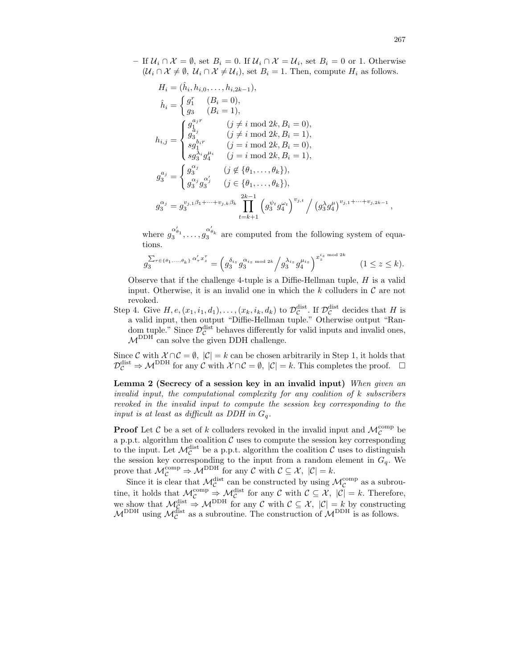– If  $\mathcal{U}_i \cap \mathcal{X} = \emptyset$ , set  $B_i = 0$ . If  $\mathcal{U}_i \cap \mathcal{X} = \mathcal{U}_i$ , set  $B_i = 0$  or 1. Otherwise  $(U_i \cap \mathcal{X} \neq \emptyset, \ U_i \cap \mathcal{X} \neq U_i)$ , set  $B_i = 1$ . Then, compute  $H_i$  as follows.

$$
H_i = (\hat{h}_i, h_{i,0}, \dots, h_{i,2k-1}),
$$
  
\n
$$
\hat{h}_i = \begin{cases} g_1^r & (B_i = 0), \\ g_3 & (B_i = 1), \end{cases}
$$
  
\n
$$
h_{i,j} = \begin{cases} g_1^{a_j r} & (j \neq i \text{ mod } 2k, B_i = 0), \\ g_3^{b_i r} & (j \neq i \text{ mod } 2k, B_i = 1), \\ sg_1^{b_i r} & (j = i \text{ mod } 2k, B_i = 0), \\ sg_3^{b_i} g_4^{\mu_i} & (j = i \text{ mod } 2k, B_i = 1), \end{cases}
$$
  
\n
$$
g_3^{a_j} = \begin{cases} g_3^{\alpha_j} & (j \notin \{\theta_1, \dots, \theta_k\}), \\ g_3^{\alpha_j} g_3^{\alpha_j'} & (j \in \{\theta_1, \dots, \theta_k\}), \\ g_3^{\alpha_j} = g_3^{\nu_{j,1}\beta_1 + \dots + \nu_{j,k}\beta_k} \prod_{t=k+1}^{2k-1} \left( g_3^{\psi_t} g_4^{\omega_t} \right)^{\nu_{j,t}} / \left( g_3^{\lambda} g_4^{\mu} \right)^{\nu_{j,1} + \dots + \nu_{j,2k-1}}
$$

where  $g_3^{\alpha'_{\theta_1}}, \ldots, g_3^{\alpha'_{\theta_k}}$  are computed from the following system of equations.

$$
g_3^{\sum_{\tau \in \{\theta_1, \dots, \theta_k\}} \alpha'_\tau x^{\tau}_z} = \left( g_3^{\delta_{i_z}} g_3^{\alpha_{i_z \bmod 2k}} / g_3^{\lambda_{i_z}} g_4^{\mu_{i_z}} \right)^{x_z^i z \bmod 2k} \qquad (1 \le z \le k).
$$

Observe that if the challenge 4-tuple is a Diffie-Hellman tuple,  $H$  is a valid input. Otherwise, it is an invalid one in which the  $k$  colluders in  $\mathcal C$  are not revoked.

Step 4. Give  $H, e, (x_1, i_1, d_1), \ldots, (x_k, i_k, d_k)$  to  $\mathcal{D}_{\mathcal{C}}^{\text{dist}}$ . If  $\mathcal{D}_{\mathcal{C}}^{\text{dist}}$  decides that  $H$  is a valid input, then output "Diffie-Hellman tuple." Otherwise output "Random tuple." Since  $\mathcal{D}_{\mathcal{C}}^{\text{dist}}$  behaves differently for valid inputs and invalid ones,  $M^{DDH}$  can solve the given DDH challenge.

Since C with  $\mathcal{X} \cap \mathcal{C} = \emptyset$ ,  $|\mathcal{C}| = k$  can be chosen arbitrarily in Step 1, it holds that  $\mathcal{D}_{\mathcal{C}}^{\text{dist}} \Rightarrow \mathcal{M}^{\text{DDH}}$  for any  $\mathcal{C}$  with  $\mathcal{X} \cap \mathcal{C} = \emptyset$ ,  $|\mathcal{C}| = k$ . This completes the proof.  $\Box$ 

Lemma 2 (Secrecy of a session key in an invalid input) When given an invalid input, the computational complexity for any coalition of k subscribers revoked in the invalid input to compute the session key corresponding to the input is at least as difficult as DDH in  $G_q$ .

**Proof** Let C be a set of k colluders revoked in the invalid input and  $\mathcal{M}_{\mathcal{C}}^{\text{comp}}$  be a p.p.t. algorithm the coalition  $\mathcal C$  uses to compute the session key corresponding to the input. Let  $\mathcal{M}_{\mathcal{C}}^{\text{dist}}$  be a p.p.t. algorithm the coalition  $\mathcal{C}$  uses to distinguish the session key corresponding to the input from a random element in  $G_q$ . We prove that  $\mathcal{M}_{\mathcal{C}}^{\text{comp}} \Rightarrow \mathcal{M}^{\text{DDH}}$  for any  $\mathcal{C}$  with  $\mathcal{C} \subseteq \mathcal{X}, |\mathcal{C}| = k$ .

Since it is clear that  $\mathcal{M}_{\mathcal{C}}^{\text{dist}}$  can be constructed by using  $\mathcal{M}_{\mathcal{C}}^{\text{comp}}$  as a subroutine, it holds that  $\mathcal{M}_{\mathcal{C}}^{\text{comp}} \Rightarrow \mathcal{M}_{\mathcal{C}}^{\text{dist}}$  for any  $\mathcal{C}$  with  $\mathcal{C} \subseteq \mathcal{X}$ ,  $|\mathcal{C}| = k$ . Therefore, we show that  $\mathcal{M}_C^{\text{dist}} \Rightarrow \mathcal{M}^{\text{DDH}}$  for any C with  $C \subseteq \mathcal{X}$ ,  $|\mathcal{C}| = k$  by constructing  $M^{\text{DDH}}$  using  $M_{\mathcal{C}}^{\text{dist}}$  as a subroutine. The construction of  $M^{\text{DDH}}$  is as follows.

,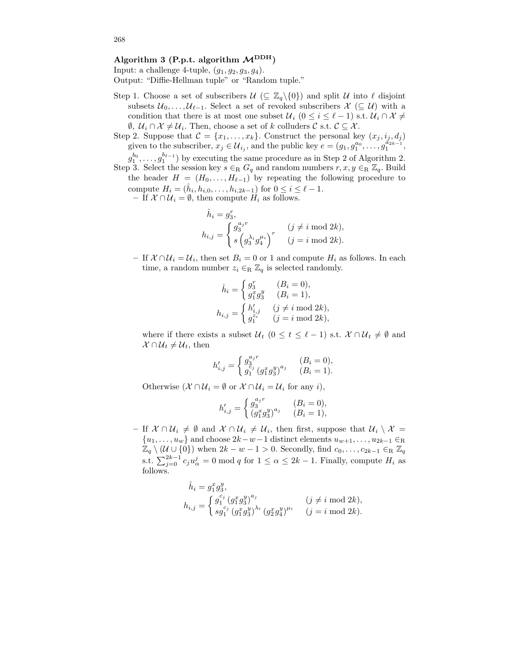# Algorithm 3 (P.p.t. algorithm  $\mathcal{M}^{DDH}$ )

Input: a challenge 4-tuple,  $(g_1, g_2, g_3, g_4)$ .

Output: "Diffie-Hellman tuple" or "Random tuple."

- Step 1. Choose a set of subscribers  $\mathcal{U} \ (\subseteq \ \mathbb{Z}_q \setminus \{0\})$  and split  $\mathcal{U}$  into  $\ell$  disjoint subsets  $\mathcal{U}_0, \ldots, \mathcal{U}_{\ell-1}$ . Select a set of revoked subscribers  $\mathcal{X} \subseteq \mathcal{U}$  with a condition that there is at most one subset  $\mathcal{U}_i$  ( $0 \leq i \leq \ell - 1$ ) s.t.  $\mathcal{U}_i \cap \mathcal{X} \neq \mathcal{Y}$  $\emptyset, \mathcal{U}_i \cap \mathcal{X} \neq \mathcal{U}_i$ . Then, choose a set of k colluders C s.t.  $\mathcal{C} \subseteq \mathcal{X}$ .
- Step 2. Suppose that  $\mathcal{C} = \{x_1, \ldots, x_k\}$ . Construct the personal key  $(x_j, i_j, d_j)$ given to the subscriber,  $x_j \in \mathcal{U}_{i_j}$ , and the public key  $e = (g_1, g_1^{a_0}, \ldots, g_1^{a_{2k-1}})$
- $(g_1^{b_0}, \ldots, g_1^{b_{\ell-1}})$  by executing the same procedure as in Step 2 of Algorithm 2. Step 3. Select the session key  $s \in_R G_q$  and random numbers  $r, x, y \in_R \mathbb{Z}_q$ . Build the header  $H = (H_0, \ldots, H_{\ell-1})$  by repeating the following procedure to compute  $H_i = (\hat{h}_i, h_{i,0}, \dots, h_{i,2k-1})$  for  $0 \le i \le \ell - 1$ .

– If  $\mathcal{X} \cap \mathcal{U}_i = \emptyset$ , then compute  $H_i$  as follows.

$$
\hat{h}_i = g_3^r,
$$
  
\n
$$
h_{i,j} = \begin{cases}\ng_3^{a_j r} & (j \neq i \mod 2k), \\
s \left(g_3^{\lambda_i} g_4^{\mu_i}\right)^r & (j = i \mod 2k).\n\end{cases}
$$

 $-$  If  $X \cap U_i = U_i$ , then set  $B_i = 0$  or 1 and compute  $H_i$  as follows. In each time, a random number  $z_i \in_R \mathbb{Z}_q$  is selected randomly.

$$
\hat{h}_i = \begin{cases}\ng_3^r & (B_i = 0), \\
g_1^x g_3^y & (B_i = 1),\n\end{cases}
$$
\n
$$
h_{i,j} = \begin{cases}\nh'_{i,j} & (j \neq i \text{ mod } 2k), \\
g_1^{z_i} & (j = i \text{ mod } 2k),\n\end{cases}
$$

where if there exists a subset  $\mathcal{U}_t$   $(0 \le t \le \ell - 1)$  s.t.  $\mathcal{X} \cap \mathcal{U}_t \ne \emptyset$  and  $\mathcal{X} \cap \mathcal{U}_t \neq \mathcal{U}_t$ , then

$$
h'_{i,j} = \begin{cases} g_3^{a_j r} & (B_i = 0), \\ g_1^{c_j} (g_1^x g_3^y)^{a_j} & (B_i = 1). \end{cases}
$$

Otherwise  $(X \cap U_i = \emptyset$  or  $X \cap U_i = U_i$  for any i),

$$
h'_{i,j} = \begin{cases} g_3^{a_j r} & (B_i = 0), \\ (g_1^x g_3^y)^{a_j} & (B_i = 1), \end{cases}
$$

 $-$  If  $\mathcal{X} \cap \mathcal{U}_i \neq \emptyset$  and  $\mathcal{X} \cap \mathcal{U}_i \neq \mathcal{U}_i$ , then first, suppose that  $\mathcal{U}_i \setminus \mathcal{X} =$  $\{u_1, \ldots, u_w\}$  and choose  $2k-w-1$  distinct elements  $u_{w+1}, \ldots, u_{2k-1} \in_R$  $\mathbb{Z}_q \setminus (\mathcal{U} \cup \{0\})$  when  $2k - w - 1 > 0$ . Secondly, find  $c_0, \ldots, c_{2k-1} \in_R \mathbb{Z}_q$ s.t.  $\sum_{j=0}^{2k-1} c_j u_\alpha^j = 0 \mod q$  for  $1 \le \alpha \le 2k-1$ . Finally, compute  $H_i$  as follows.

$$
\hat{h}_i = g_1^x g_3^y,
$$
\n
$$
h_{i,j} = \begin{cases}\ng_1^{c_j} (g_1^x g_3^y)^{a_j} & (j \neq i \mod 2k), \\
sg_1^{c_j} (g_1^x g_3^y)^{\lambda_i} (g_2^x g_4^y)^{\mu_i} & (j = i \mod 2k).\n\end{cases}
$$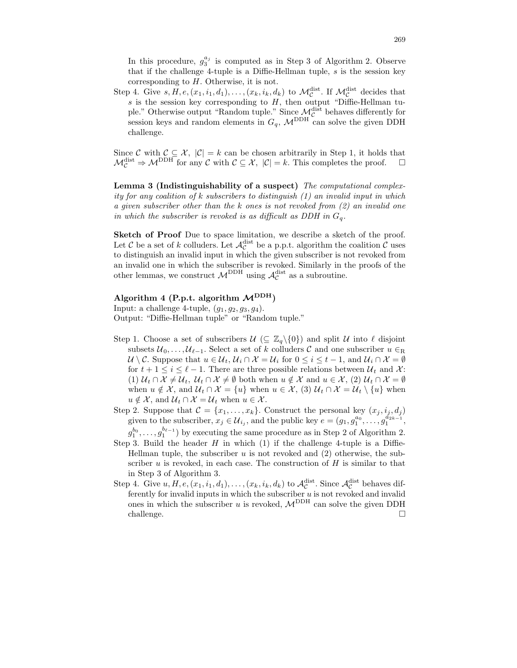In this procedure,  $g_3^{a_j}$  is computed as in Step 3 of Algorithm 2. Observe that if the challenge 4-tuple is a Diffie-Hellman tuple, s is the session key corresponding to H. Otherwise, it is not.

Step 4. Give  $s, H, e, (x_1, i_1, d_1), \ldots, (x_k, i_k, d_k)$  to  $\mathcal{M}_\mathcal{C}^{\text{dist}}$ . If  $\mathcal{M}_\mathcal{C}^{\text{dist}}$  decides that s is the session key corresponding to  $H$ , then output "Diffie-Hellman tuple." Otherwise output "Random tuple." Since  $\mathcal{M}_{\mathcal{C}}^{\text{dist}}$  behaves differently for session keys and random elements in  $G_q$ ,  $\mathcal{M}^{\text{DDH}}$  can solve the given DDH challenge.

Since C with  $C \subseteq \mathcal{X}$ ,  $|\mathcal{C}| = k$  can be chosen arbitrarily in Step 1, it holds that  $\mathcal{M}_{\mathcal{C}}^{\text{dist}} \Rightarrow \mathcal{M}^{\text{DDH}}$  for any C with  $\mathcal{C} \subset \mathcal{X}$ ,  $|\mathcal{C}| = k$ . This completes the proof.  $\square$  $\mathcal{M}_\mathcal{C}^{\text{dist}} \Rightarrow \mathcal{M}^{\text{DDH}}$  for any  $\mathcal{C}$  with  $\mathcal{C} \subseteq \mathcal{X}$ ,  $|\mathcal{C}| = k$ . This completes the proof.  $\square$ 

Lemma 3 (Indistinguishability of a suspect) The computational complexity for any coalition of k subscribers to distinguish  $(1)$  an invalid input in which a given subscriber other than the k ones is not revoked from (2) an invalid one in which the subscriber is revoked is as difficult as DDH in  $G_q$ .

Sketch of Proof Due to space limitation, we describe a sketch of the proof. Let C be a set of k colluders. Let  $\mathcal{A}_{\mathcal{C}}^{\text{dist}}$  be a p.p.t. algorithm the coalition C uses to distinguish an invalid input in which the given subscriber is not revoked from an invalid one in which the subscriber is revoked. Similarly in the proofs of the other lemmas, we construct  $\mathcal{M}^{DDH}$  using  $\mathcal{A}_{\mathcal{C}}^{\text{dist}}$  as a subroutine.

# Algorithm 4 (P.p.t. algorithm  $\mathcal{M}^{DDH}$ )

Input: a challenge 4-tuple,  $(g_1, g_2, g_3, g_4)$ . Output: "Diffie-Hellman tuple" or "Random tuple."

- Step 1. Choose a set of subscribers  $\mathcal{U} \ (\subseteq \mathbb{Z}_q \setminus \{0\})$  and split  $\mathcal{U}$  into  $\ell$  disjoint subsets  $\mathcal{U}_0, \ldots, \mathcal{U}_{\ell-1}$ . Select a set of k colluders C and one subscriber  $u \in_R$  $U \setminus C$ . Suppose that  $u \in U_t$ ,  $U_i \cap \mathcal{X} = U_i$  for  $0 \leq i \leq t-1$ , and  $U_i \cap \mathcal{X} = \emptyset$ for  $t + 1 \leq i \leq \ell - 1$ . There are three possible relations between  $\mathcal{U}_t$  and X: (1)  $\mathcal{U}_t \cap \mathcal{X} \neq \mathcal{U}_t$ ,  $\mathcal{U}_t \cap \mathcal{X} \neq \emptyset$  both when  $u \notin \mathcal{X}$  and  $u \in \mathcal{X}$ , (2)  $\mathcal{U}_t \cap \mathcal{X} = \emptyset$ when  $u \notin \mathcal{X}$ , and  $\mathcal{U}_t \cap \mathcal{X} = \{u\}$  when  $u \in \mathcal{X}$ , (3)  $\mathcal{U}_t \cap \mathcal{X} = \mathcal{U}_t \setminus \{u\}$  when  $u \notin \mathcal{X}$ , and  $\mathcal{U}_t \cap \mathcal{X} = \mathcal{U}_t$  when  $u \in \mathcal{X}$ .
- Step 2. Suppose that  $\mathcal{C} = \{x_1, \ldots, x_k\}$ . Construct the personal key  $(x_j, i_j, d_j)$ given to the subscriber,  $x_j \in \mathcal{U}_{i_j}$ , and the public key  $e = (g_1, g_1^{a_0}, \ldots, g_1^{a_{2k-1}})$ ,  $g_1^{b_0}, \ldots, g_1^{b_{\ell-1}}$  by executing the same procedure as in Step 2 of Algorithm 2.
- Step 3. Build the header  $H$  in which (1) if the challenge 4-tuple is a Diffie-Hellman tuple, the subscriber  $u$  is not revoked and  $(2)$  otherwise, the subscriber  $u$  is revoked, in each case. The construction of  $H$  is similar to that in Step 3 of Algorithm 3.
- Step 4. Give  $u, H, e, (x_1, i_1, d_1), \ldots, (x_k, i_k, d_k)$  to  $\mathcal{A}_{\mathcal{C}}^{\text{dist}}$ . Since  $\mathcal{A}_{\mathcal{C}}^{\text{dist}}$  behaves differently for invalid inputs in which the subscriber  $u$  is not revoked and invalid ones in which the subscriber u is revoked,  $\mathcal{M}^{DDH}$  can solve the given DDH challenge.  $\Box$ challenge.  $\Box$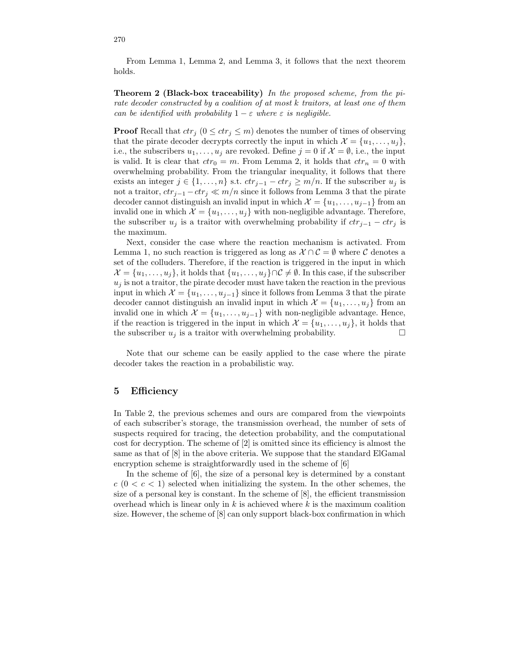From Lemma 1, Lemma 2, and Lemma 3, it follows that the next theorem holds.

Theorem 2 (Black-box traceability) In the proposed scheme, from the pirate decoder constructed by a coalition of at most k traitors, at least one of them can be identified with probability  $1 - \varepsilon$  where  $\varepsilon$  is negligible.

**Proof** Recall that  $ctr_j$   $(0 \leq ctr_j \leq m)$  denotes the number of times of observing that the pirate decoder decrypts correctly the input in which  $\mathcal{X} = \{u_1, \ldots, u_j\},\$ i.e., the subscribers  $u_1, \ldots, u_j$  are revoked. Define  $j = 0$  if  $\mathcal{X} = \emptyset$ , i.e., the input is valid. It is clear that  $ctr_0 = m$ . From Lemma 2, it holds that  $ctr_n = 0$  with overwhelming probability. From the triangular inequality, it follows that there exists an integer  $j \in \{1, \ldots, n\}$  s.t.  $ctr_{j-1} - str_j \geq m/n$ . If the subscriber  $u_j$  is not a traitor,  $ctr_{j-1} -ctr_j \ll m/n$  since it follows from Lemma 3 that the pirate decoder cannot distinguish an invalid input in which  $\mathcal{X} = \{u_1, \ldots, u_{j-1}\}\$  from an invalid one in which  $\mathcal{X} = \{u_1, \ldots, u_j\}$  with non-negligible advantage. Therefore, the subscriber  $u_j$  is a traitor with overwhelming probability if  $ctr_{j-1} -ctr_j$  is the maximum.

Next, consider the case where the reaction mechanism is activated. From Lemma 1, no such reaction is triggered as long as  $X \cap C = \emptyset$  where C denotes a set of the colluders. Therefore, if the reaction is triggered in the input in which  $\mathcal{X} = \{u_1, \ldots, u_j\}$ , it holds that  $\{u_1, \ldots, u_j\} \cap C \neq \emptyset$ . In this case, if the subscriber  $u_j$  is not a traitor, the pirate decoder must have taken the reaction in the previous input in which  $\mathcal{X} = \{u_1, \ldots, u_{j-1}\}\$  since it follows from Lemma 3 that the pirate decoder cannot distinguish an invalid input in which  $\mathcal{X} = \{u_1, \ldots, u_j\}$  from an invalid one in which  $\mathcal{X} = \{u_1, \ldots, u_{i-1}\}\$  with non-negligible advantage. Hence, if the reaction is triggered in the input in which  $\mathcal{X} = \{u_1, \ldots, u_j\}$ , it holds that the subscriber  $u_i$  is a traitor with overwhelming probability. the subscriber  $u_j$  is a traitor with overwhelming probability.

Note that our scheme can be easily applied to the case where the pirate decoder takes the reaction in a probabilistic way.

### 5 Efficiency

In Table 2, the previous schemes and ours are compared from the viewpoints of each subscriber's storage, the transmission overhead, the number of sets of suspects required for tracing, the detection probability, and the computational cost for decryption. The scheme of [2] is omitted since its efficiency is almost the same as that of [8] in the above criteria. We suppose that the standard ElGamal encryption scheme is straightforwardly used in the scheme of [6]

In the scheme of [6], the size of a personal key is determined by a constant  $c (0 < c < 1)$  selected when initializing the system. In the other schemes, the size of a personal key is constant. In the scheme of [8], the efficient transmission overhead which is linear only in  $k$  is achieved where  $k$  is the maximum coalition size. However, the scheme of [8] can only support black-box confirmation in which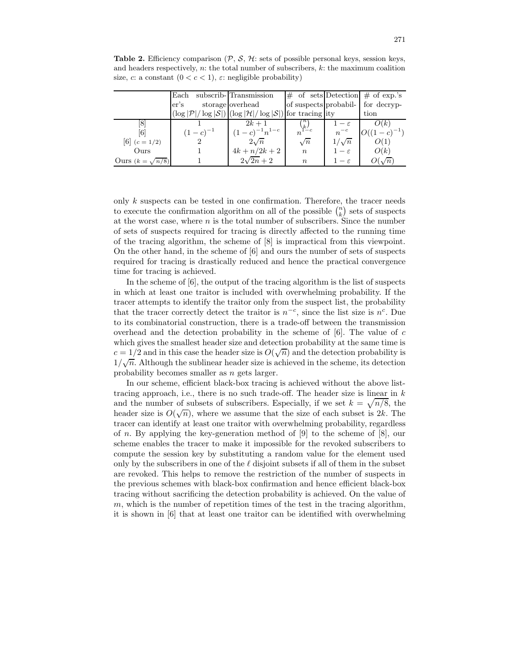**Table 2.** Efficiency comparison  $(P, S, H)$ : sets of possible personal keys, session keys, and headers respectively,  $n$ : the total number of subscribers,  $k$ : the maximum coalition size, c: a constant  $(0 < c < 1)$ ,  $\varepsilon$ : negligible probability)

|                         | Each         | subscrib-Transmission |                                                                                                        |                  |                 | $\#$ of sets Detection $\#$ of exp.'s |
|-------------------------|--------------|-----------------------|--------------------------------------------------------------------------------------------------------|------------------|-----------------|---------------------------------------|
|                         | er's         | storage overhead      |                                                                                                        |                  |                 | of suspects probabil- for decryp-     |
|                         |              |                       | $(\log  \mathcal{P}  / \log  \mathcal{S} )  (\log  \mathcal{H}  / \log  \mathcal{S} )$ for tracing ity |                  |                 | tion                                  |
| 8                       |              |                       | $2k+1$                                                                                                 | $\binom{n}{k}$   | $1-\varepsilon$ | O(k)                                  |
| [6]                     | $(1-c)^{-1}$ |                       | $(1-c)^{-1}n^{1-c}$                                                                                    |                  | $n^{-c}$        | $O((1-c)^{-1})$                       |
| $[6]$ $(c = 1/2)$       |              |                       | $2\sqrt{n}$                                                                                            | $\sqrt{n}$       | $1/\sqrt{n}$    | O(1)                                  |
| <b>Ours</b>             |              |                       | $4k + n/2k + 2$                                                                                        | $\boldsymbol{n}$ | $1-\varepsilon$ | O(k)                                  |
| Ours $(k = \sqrt{n/8})$ |              |                       | $2\sqrt{2n}+2$                                                                                         | $\boldsymbol{n}$ | $1-\varepsilon$ | $O(\sqrt{n})$                         |

only k suspects can be tested in one confirmation. Therefore, the tracer needs to execute the confirmation algorithm on all of the possible  $\binom{n}{k}$  sets of suspects at the worst case, where  $n$  is the total number of subscribers. Since the number of sets of suspects required for tracing is directly affected to the running time of the tracing algorithm, the scheme of [8] is impractical from this viewpoint. On the other hand, in the scheme of [6] and ours the number of sets of suspects required for tracing is drastically reduced and hence the practical convergence time for tracing is achieved.

In the scheme of [6], the output of the tracing algorithm is the list of suspects in which at least one traitor is included with overwhelming probability. If the tracer attempts to identify the traitor only from the suspect list, the probability that the tracer correctly detect the traitor is  $n^{-c}$ , since the list size is  $n^{c}$ . Due to its combinatorial construction, there is a trade-off between the transmission overhead and the detection probability in the scheme of  $[6]$ . The value of c which gives the smallest header size and detection probability at the same time is  $c = 1/2$  and in this case the header size is  $O(\sqrt{n})$  and the detection probability is  $1/\sqrt{n}$ . Although the sublinear header size is achieved in the scheme, its detection probability becomes smaller as n gets larger.

In our scheme, efficient black-box tracing is achieved without the above listtracing approach, i.e., there is no such trade-off. The header size is linear in  $k$ and the number of subsets of subscribers. Especially, if we set  $k = \sqrt{n/8}$ , the header size is  $O(\sqrt{n})$ , where we assume that the size of each subset is  $2k$ . The tracer can identify at least one traitor with overwhelming probability, regardless of n. By applying the key-generation method of [9] to the scheme of [8], our scheme enables the tracer to make it impossible for the revoked subscribers to compute the session key by substituting a random value for the element used only by the subscribers in one of the  $\ell$  disjoint subsets if all of them in the subset are revoked. This helps to remove the restriction of the number of suspects in the previous schemes with black-box confirmation and hence efficient black-box tracing without sacrificing the detection probability is achieved. On the value of  $m$ , which is the number of repetition times of the test in the tracing algorithm, it is shown in [6] that at least one traitor can be identified with overwhelming